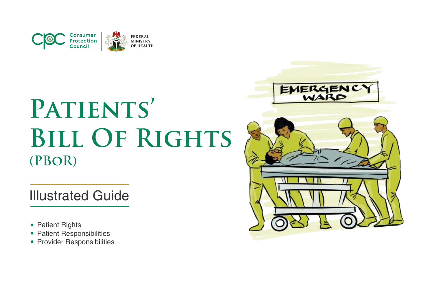

Illustrated Guide

- Patient Rights
- Patient Responsibilities
- Provider Responsibilities

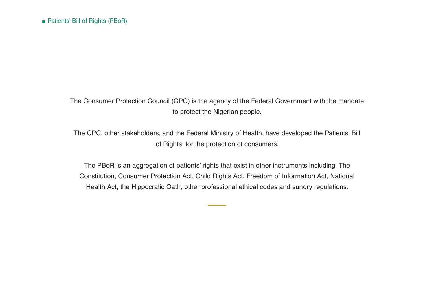The Consumer Protection Council (CPC) is the agency of the Federal Government with the mandate to protect the Nigerian people.

The CPC, other stakeholders, and the Federal Ministry of Health, have developed the Patients' Bill of Rights for the protection of consumers.

The PBoR is an aggregation of patients' rights that exist in other instruments including, The Constitution, Consumer Protection Act, Child Rights Act, Freedom of Information Act, National Health Act, the Hippocratic Oath, other professional ethical codes and sundry regulations.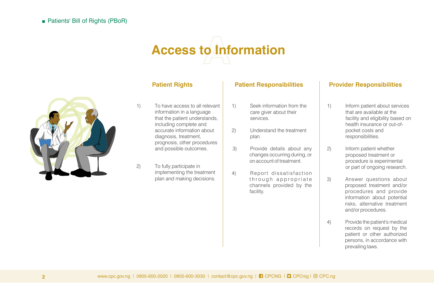# **Access to Information**



- 1) To have access to all relevant information in a language that the patient understands, including complete and accurate information about diagnosis, treatment, prognosis, other procedures and possible outcomes.
- 2) To fully participate in implementing the treatment plan and making decisions.

- 1) Seek information from the care giver about their services.
- 2) Understand the treatment plan.
- 3) Provide details about any changes occurring during, or on account of treatment.
- 4) Report dissatisfaction through appropriate channels provided by the facility.

- 1) Inform patient about services that are available at the facility and eligibility based on health insurance or out-ofpocket costs and responsibilities.
- 2) Inform patient whether proposed treatment or procedure is experimental or part of ongoing research.
- 3) Answer questions about proposed treatment and/or procedures and provide information about potential risks, alternative treatment and/or procedures.
- 4) Provide the patient's medical records on request by the patient or other authorized persons, in accordance with prevailing laws.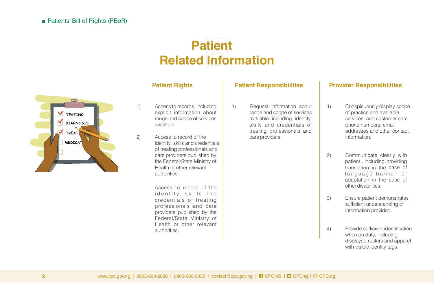## **Patient Related Information**



- 1) Access to records, including explicit information about range and scope of services available.
- 2) Access to record of the identity, skills and credentials of treating professionals and care providers published by the Federal/State Ministry of Health or other relevant authorities.

Access to record of the identity, skills and credentials of treating professionals and care providers published by the Federal/State Ministry of Health or other relevant authorities.

1) Request information about range and scope of services available including identity, skills and credentials of treating professionals and care providers.

- 1) Conspicuously display scope of practice and available services; and customer care phone numbers, email addresses and other contact information.
- 2) Communicate clearly with patient , including, providing translation in the case of language barrier, or adaptation in the case of other disabilities.
- 3) Ensure patient demonstrates sufficient understanding of information provided.
- 4) Provide sufficient identification when on duty, including displayed rosters and apparel with visible identity tags.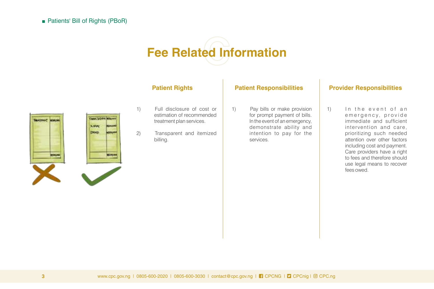# **Fee Related Information**





- 1) Full disclosure of cost or estimation of recommended treatment plan services.
- 2) Transparent and itemized billing.

1) Pay bills or make provision for prompt payment of bills. In the event of an emergency, demonstrate ability and intention to pay for the services.

## Patient Rights **Patient Responsibilities** Provider Responsibilities

1) In the event of an em ergency, provide immediate and sufficient intervention and care, prioritizing such needed attention over other factors including cost and payment. Care providers have a right to fees and therefore should use legal means to recover fees owed.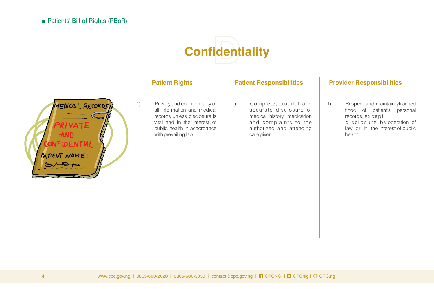

## MEDICAL RECORDS RIVATE **AND FIDENTIAI** PATIENT NAME:

1) Privacy and confidentiality of all information and medical records unless disclosure is vital and in the interest of public health in accordance with prevailing law.

1) Complete, truthful and accurate disclosure of medical history, medication and complaints to the authorized and attending care giver.

## Patient Rights **Patient Responsibilities** Provider Responsibilities

1) Respect and maintain ytilaitned finoc of patient's personal records, except disclosure by operation of law or in the interest of public health.

www.cpc.gov.ng | 0805-600-2020 | 0805-600-3030 | contact@cpc.gov.ng | CPCNG | CPCnig | CPC.ng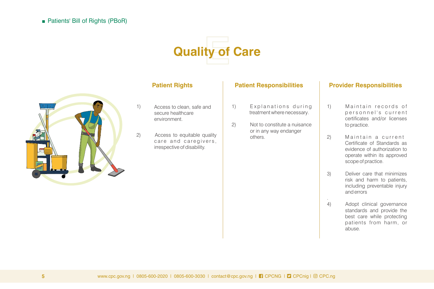# **Quality of Care**



- 1) Access to clean, safe and secure healthcare environment.
- 2) Access to equitable quality care and caregivers, irrespective of disability.

- 1) Explanations during treatment where necessary.
- 2) Not to constitute a nuisance or in any way endanger others.

### Patient Rights **Patient Responsibilities** Provider Responsibilities

- 1) Maintain records of personnel's current certificates and/or licenses to practice.
- 2) Maintain a current Certificate of Standards as evidence of authorization to operate within its approved scope of practice.
- 3) Deliver care that minimizes risk and harm to patients, including preventable injury and errors

.

4) Adopt clinical governance standards and provide the best care while protecting patients from harm, or abuse.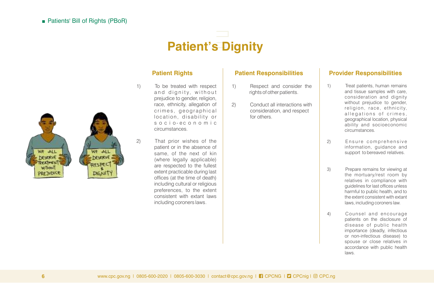## **Patient's Dignity**



- 1) To be treated with respect and dignity, without prejudice to gender, religion, race, ethnicity, allegation of crimes, geographical location, disability or s o c i o - e c o n o m i c circumstances.
- 2) That prior wishes of the patient or in the absence of same, of the next of kin (where legally applicable) are respected to the fullest extent practicable during last offices (at the time of death) including cultural or religious preferences, to the extent consistent with extant laws including coroners laws.

- 1) Respect and consider the rights of other patients.
- 2) Conduct all interactions with consideration, and respect for others.

- 1) Treat patients, human remains and tissue samples with care, consideration and dignity without prejudice to gender, religion, race, ethnicity, allegations of crimes, geographical location, physical ability and socioeconomic circumstances.
- 2) Ensure comprehensive information, guidance and support to bereaved relatives.
- 3) Prepare remains for viewing at the mortuary/rest room by relatives in compliance with guidelines for last offices unless harmful to public health, and to the extent consistent with extant laws, including coroners law.
- 4) Counsel and encourage patients on the disclosure of disease of public health importance (deadly, infectious or non-infectious disease) to spouse or close relatives in accordance with public health laws.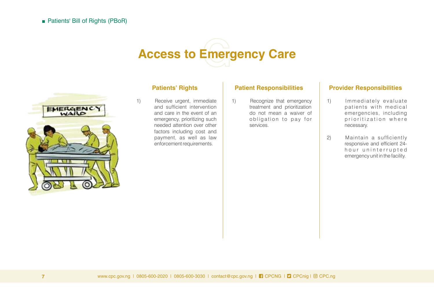# **Access to Emergency Care**



1) Receive urgent, immediate and sufficient intervention and care in the event of an emergency, prioritizing such needed attention over other factors including cost and payment, as well as law enforcement requirements.

1) Recognize that emergency treatment and prioritization do not mean a waiver of obligation to pay for services.

- 1) Immediately evaluate patients with medical emergencies, including prioritization where necessary.
- 2) Maintain a sufficiently responsive and efficient 24hour uninterrupted emergency unit in the facility.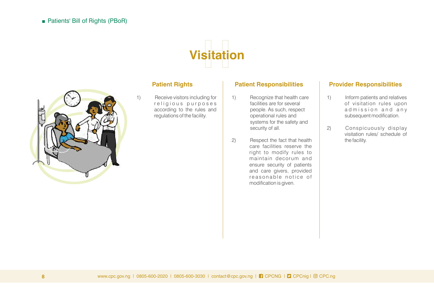



1) Receive visitors including for religious purposes according to the rules and regulations of the facility.

- 1) Recognize that health care facilities are for several people. As such, respect operational rules and systems for the safety and security of all.
- 2) Respect the fact that health care facilities reserve the right to modify rules to maintain decorum and ensure security of patients and care givers, provided reasonable notice of modification is given.

- 1) Inform patients and relatives of visitation rules upon admission and any subsequent modification.
- 2) Conspicuously display visitation rules/ schedule of the facility.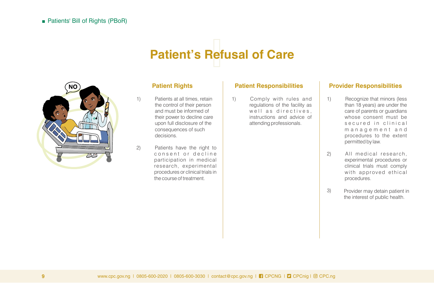## **Patient's Refusal of Care**



- 1) Patients at all times, retain the control of their person and must be informed of their power to decline care upon full disclosure of the consequences of such decisions.
- 2) Patients have the right to consent or decline participation in medical research, experimental procedures or clinical trials in the course of treatment.

1) Comply with rules and regulations of the facility as well as directives, instructions and advice of attending professionals.

- 1) Recognize that minors (less than 18 years) are under the care of parents or guardians whose consent must be s e cured in clinical m a n a g e m e n t a n d procedures to the extent permitted by law.
- 2) All medical research, experimental procedures or clinical trials must comply with approved ethical procedures.
- 3) Provider may detain patient in the interest of public health.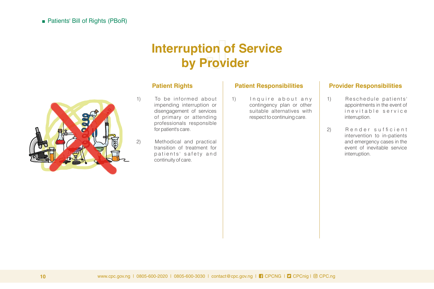## **Interruption of Service uption of Se**<br>by Provider



- 1) To be informed about impending interruption or disengagement of services of primary or attending professionals responsible for patient's care.
- 2) Methodical and practical transition of treatment for patients' safety and continuity of care.

1) Inquire about any contingency plan or other suitable alternatives with respect to continuing care.

- 1) Reschedule patients' appointments in the event of in e vitable service interruption.
- 2) Render sufficient intervention to in-patients and emergency cases in the event of inevitable service interruption.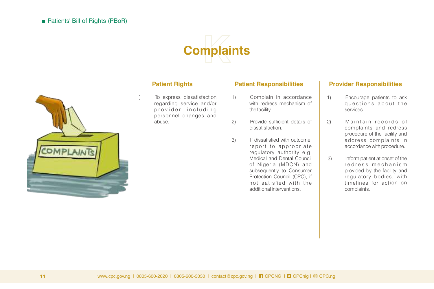



1) To express dissatisfaction regarding service and/or provider, including personnel changes and abuse.

- 1) Complain in accordance with redress mechanism of the facility.
- 2) Provide sufficient details of dissatisfaction.
- 3) If dissatisfied with outcome, report to appropriate regulatory authority e.g. Medical and Dental Council of Nigeria (MDCN) and subsequently to Consumer Protection Council (CPC), if not satisfied with the additional interventions.

- 1) Encourage patients to ask questions about the services.
- 2) Maintain records of complaints and redress procedure of the facility and address complaints in accordance with procedure.
- 3) Inform patient at onset of the redress mechanism provided by the facility and regulatory bodies, with timelines for action on complaints.